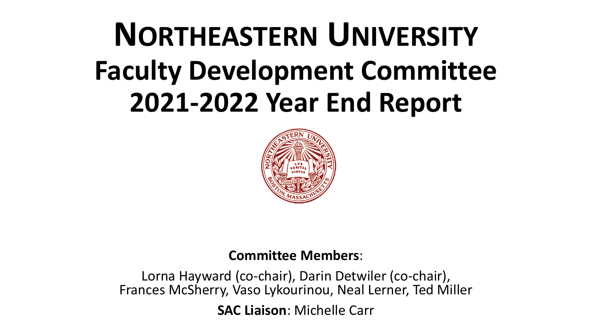# **NORTHEASTERN UNIVERSITY Faculty Development Committee 2021-2022 Year End Report**



#### **Committee Members**:

Lorna Hayward (co-chair), Darin Detwiler (co-chair), Frances McSherry, Vaso Lykourinou, Neal Lerner, Ted Miller

**SAC Liaison**: Michelle Carr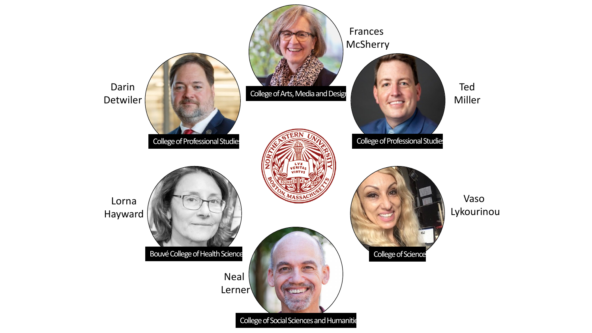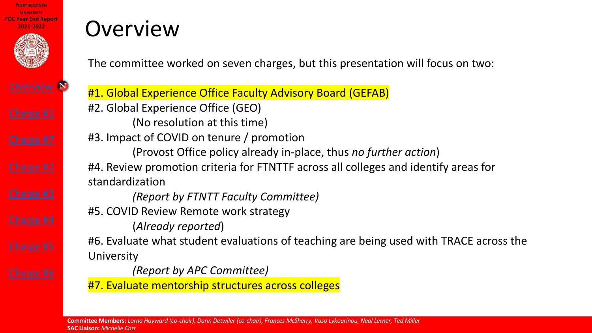

**[Overview](#page-8-0)** N

### **Overview**

The committee worked on seven charges, but this present

#1. Global Experience Office Faculty Advisory Board (GEFA #2. Global Experience Office (GEO) (No resolution at this time) #3. Impact of COVID on tenure / promotion (Provost Office policy already in-place, thus *no fu* #4. Review promotion criteria for FTNTTF across all college standardization *(Report by FTNTT Faculty Committee)*  #5. COVID Review Remote work strategy (*Already reported*) #6. Evaluate what student evaluations of teaching are beir University *(Report by APC Committee)*  #7. Evaluate mentorship structures across colleges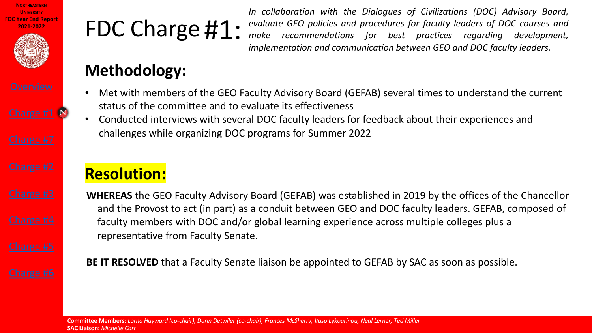



# FDC Charge #1:

*In collaboration with the Dial evaluate GEO policies and procedure make recommendations for implementation* and *communica* 

### **Methodology:**

- Met with members of the GEO Faculty Advisory Board (GEFAB) status of the committee and to evaluate its effectiveness
- Conducted interviews with several DOC faculty leaders for fee challenges while organizing DOC programs for Summer 2022

### **Resolution:**

**WHEREAS** the GEO Faculty Advisory Board (GEFAB) was establish and the Provost to act (in part) as a conduit between GEO and faculty members with DOC and/or global learning experience and representative from Faculty Senate.

**BE IT RESOLVED** that a Faculty Senate liaison be appointed to GE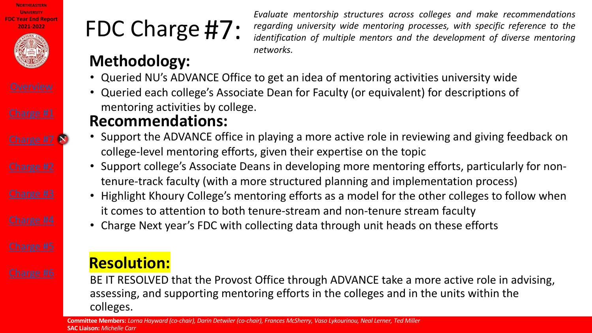







Charge #7<sup>N</sup>

## FDC Charge #7:

*Evaluate mentorship structures across colleges and make recommendations regarding university wide mentoring mentoring mentoring mentoring ...* 

*identification of multiple men networks.*

### **Methodology:**

- Queried NU's ADVANCE Office to get an idea of mentor
- Queried each college's Associate Dean for Faculty (or equivalent) mentoring activities by college.

#### **Recommendations:**

- Support the ADVANCE office in playing a more active ro college-level mentoring efforts, given their expertise on
- Support college's Associate Deans in developing more nontenure-track faculty (with a more structured planning a
- Highlight Khoury College's mentoring efforts as a mode it comes to attention to both tenure-stream and non-te
- Charge Next year's FDC with collecting data through un

#### **Resolution:**

BE IT RESOLVED that the Provost Office through ADVANCE assessing, and supporting mentoring efforts in the college colleges.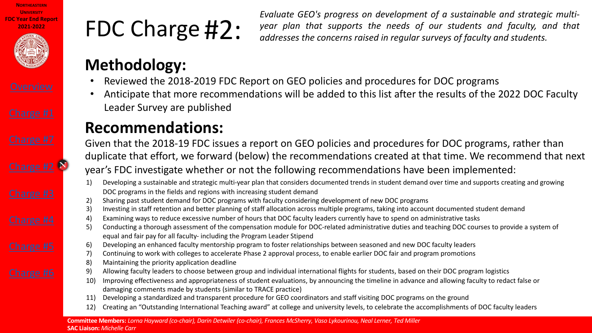





## FDC Charge #2:

<span id="page-5-0"></span>*Evaluate GEO's progress on development year plan that supports the addresses the concerns raised in regular surveys of faculty and students.*

#### **Methodology:**

- Reviewed the 2018-2019 FDC Report on GEO policies and pro
- Anticipate that more recommendations will be added to this Leader Survey are published

#### **Recommendations:**

Given that the 2018-19 FDC issues a report on GEO policies and processed duplicate that effort, we forward (below) the recommendations or year's FDC investigate whether or not the following recommendations  $\alpha$ 

- 1) Developing a sustainable and strategic multi-year plan that considers documented trends in DOC programs in the fields and regions with increasing student demand
- 2) Sharing past student demand for DOC programs with faculty considering development of ne
- 3) Investing in staff retention and better planning of staff allocation across multiple programs,
- 4) Examining ways to reduce excessive number of hours that DOC faculty leaders currently have
- 5) Conducting a thorough assessment of the compensation module for DOC-related administration of the computation equal and fair pay for all faculty- including the Program Leader Stipend
- 6) Developing an enhanced faculty mentorship program to foster relationships between seasore
- 7) Continuing to work with colleges to accelerate Phase 2 approval process, to enable earlier D
- 8) Maintaining the priority application deadline
- 9) Allowing faculty leaders to choose between group and individual international flights for stu
- 10) Improving effectiveness and appropriateness of student evaluations, by announcing the tim
- damaging comments made by students (similar to TRACE practice)
- 11) Developing a standardized and transparent procedure for GEO coordinators and staff visiting
- 12) Creating an "Outstanding International Teaching award" at college and university levels, to c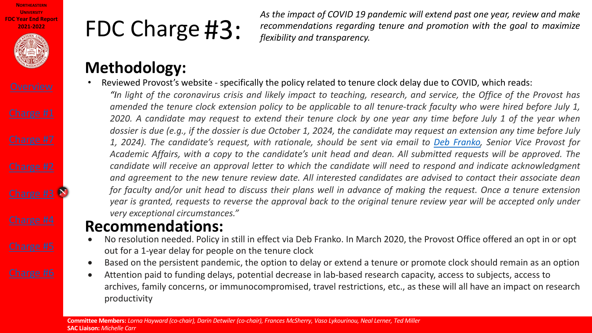



### FDC Charge #3:

*As the impact of COVID 19 pa recommendations regarding flexibility and transparency.*

### **Methodology:**

Reviewed Provost's website - specifically the policy related to tenure "In light of the coronavirus crisis and likely impact to teaching, re amended the tenure clock extension policy to be applicable to all 2020. A candidate may request to extend their tenure clock by c dossier is due (e.g., if the dossier is due October 1, 2024, the candid 1, 2024). The candidate's request, with rationale, should be sent Academic Affairs, with a copy to the candidate's unit head and d candidate will receive an approval letter to which the candidate w and agreement to the new tenure review date. All interested cand for faculty and/or unit head to discuss their plans well in advance year is granted, requests to reverse the approval back to the origin *very exceptional circumstances."*

#### **Recommendations:**

- No resolution needed. Policy in still in effect via Deb Franko. In Marc out for a 1-year delay for people on the tenure clock
- Based on the persistent pandemic, the option to delay or extend a te
- Attention paid to funding delays, potential decrease in lab-based res archives, family concerns, or immunocompromised, travel restrictior productivity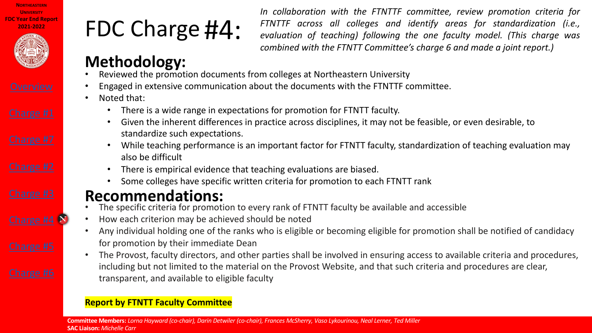

Charge #4

## FDC Charge #4:

*In collaboration with the F FTNTTF across all colleges and identify areas for standardization (i.e., evaluation of teaching) following combined* with the FTNTT Cor

### **Methodology:**

- Reviewed the promotion documents from colleges at Northeastern U
- Engaged in extensive communication about the documents with the F
- Noted that:
	- There is a wide range in expectations for promotion for FTNTT fa
	- Given the inherent differences in practice across disciplines, it m standardize such expectations.
	- While teaching performance is an important factor for FTNTT factor. also be difficult
		- There is empirical evidence that teaching evaluations are biased.
	- Some colleges have specific written criteria for promotion to ead

#### **Recommendations:**

- The specific criteria for promotion to every rank of FTNTT faculty be and accessible and accessible and accessible a
- How each criterion may be achieved should be noted
- Any individual holding one of the ranks who is eligible or becoming eligible or promotion shall be not promotion shall be not promotion shall be not promotion shall be not an amount of candidacy shall and shall and shall b for promotion by their immediate Dean
- The Provost, faculty directors, and other parties shall be involved in ensuring access to available criteria and procedure criteria and procedure criteria and procedure criteria and procedure criteria and procedure and pro including but not limited to the material on the Provost Website, and transparent, and available to eligible faculty

#### **Report by FTNTT Faculty Committee**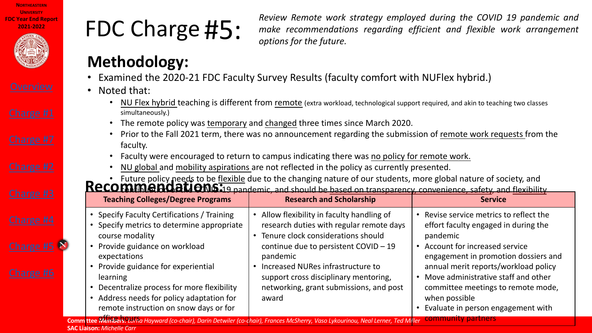| <b>NORTHFASTERN</b>        |
|----------------------------|
| UNIVERSITY                 |
| <b>FDC Year End Report</b> |
| 2021-2022                  |



Charge #5<sup>p</sup>

## FDC Charge #5:

<span id="page-8-0"></span>*Review Remote work strated make recommendations reg options for the future.*

#### **Methodology:**

- Examined the 2020-21 FDC Faculty Survey Results (faculty component
- Noted that:
	- NU Flex hybrid teaching is different from remote (extra workload, technologie simultaneously.)
	- The remote policy was temporary and changed three times since Ma
	- Prior to the Fall 2021 term, there was no announcement regarding the submission of remote work remote work remo faculty.
	- Faculty were encouraged to return to campus indicating there was no
	- NU global and mobility aspirations are not reflected in the policy as our

• Future policy needs to be flexible due to the changing nature of our structure of our students. **Recommended in the student set of the changing nature of our structure of society. COMINIGION OND-19 pandemic, and should be based on transparency** 

| <b>Teaching Colleges/Degree Programs</b><br><b>Research and Scholarship</b>                                                                                                                                                                                                                                                                                                                                                                                                                                                                                                                                                                          |  |
|------------------------------------------------------------------------------------------------------------------------------------------------------------------------------------------------------------------------------------------------------------------------------------------------------------------------------------------------------------------------------------------------------------------------------------------------------------------------------------------------------------------------------------------------------------------------------------------------------------------------------------------------------|--|
|                                                                                                                                                                                                                                                                                                                                                                                                                                                                                                                                                                                                                                                      |  |
| Specify Faculty Certifications / Training<br>• Allow flexibility in faculty handlin<br>Specify metrics to determine appropriate<br>research duties with regular reme<br>• Tenure clock considerations shou<br>course modality<br>Provide guidance on workload<br>continue due to persistent COVID<br>expectations<br>pandemic<br>Provide guidance for experiential<br>Increased NURes infrastructure to<br>support cross disciplinary mentor<br>learning<br>Decentralize process for more flexibility<br>networking, grant submissions, a<br>Address needs for policy adaptation for<br>award<br>$\bullet$<br>remote instruction on snow days or for |  |